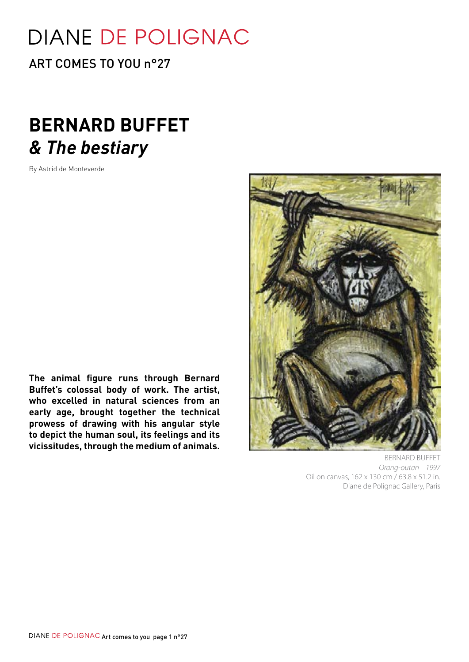# **DIANE DE POLIGNAC**

ART COMES TO YOU n°27

# **BERNARD BUFFET** *& The bestiary*

By Astrid de Monteverde

**The animal figure runs through Bernard Buffet's colossal body of work. The artist, who excelled in natural sciences from an early age, brought together the technical prowess of drawing with his angular style to depict the human soul, its feelings and its vicissitudes, through the medium of animals.**



 BERNARD BUFFET *Orang-outan – 1997*  Oil on canvas, 162 x 130 cm / 63.8 x 51.2 in. Diane de Polignac Gallery, Paris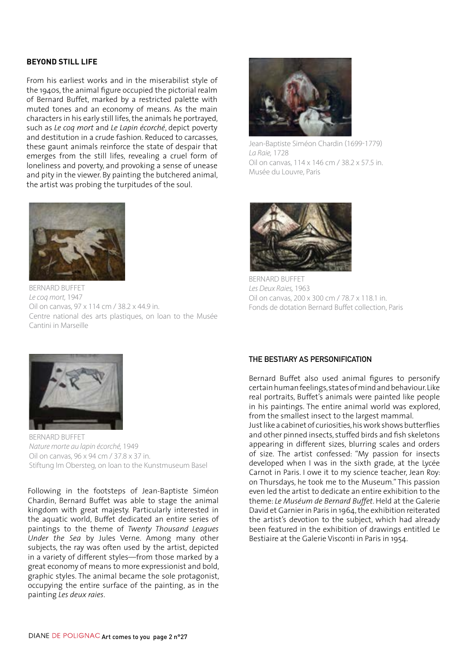#### **Beyond still life**

From his earliest works and in the miserabilist style of the 1940s, the animal figure occupied the pictorial realm of Bernard Buffet, marked by a restricted palette with muted tones and an economy of means. As the main characters in his early still lifes, the animals he portrayed, such as *Le coq mort* and *Le Lapin écorché*, depict poverty and destitution in a crude fashion. Reduced to carcasses, these gaunt animals reinforce the state of despair that emerges from the still lifes, revealing a cruel form of loneliness and poverty, and provoking a sense of unease and pity in the viewer. By painting the butchered animal, the artist was probing the turpitudes of the soul.



BERNARD BUFFET *Le coq mort,* 1947 Oil on canvas, 97 x 114 cm / 38.2 x 44.9 in. Centre national des arts plastiques, on loan to the Musée Cantini in Marseille



Jean-Baptiste Siméon Chardin (1699-1779) *La Raie,* 1728 Oil on canvas, 114 x 146 cm / 38.2 x 57.5 in. Musée du Louvre, Paris



BERNARD BUFFET *Les Deux Raies,* 1963 Oil on canvas, 200 x 300 cm / 78.7 x 118.1 in. Fonds de dotation Bernard Buffet collection, Paris



BERNARD BUFFET *Nature morte au lapin écorché,* 1949 Oil on canvas, 96 x 94 cm / 37.8 x 37 in. Stiftung Im Obersteg, on loan to the Kunstmuseum Basel

Following in the footsteps of Jean-Baptiste Siméon Chardin, Bernard Buffet was able to stage the animal kingdom with great majesty. Particularly interested in the aquatic world, Buffet dedicated an entire series of paintings to the theme of *Twenty Thousand Leagues Under the Sea* by Jules Verne. Among many other subjects, the ray was often used by the artist, depicted in a variety of different styles—from those marked by a great economy of means to more expressionist and bold, graphic styles. The animal became the sole protagonist, occupying the entire surface of the painting, as in the painting *Les deux raies*.

## **The bestiary as personification**

Bernard Buffet also used animal figures to personify certain human feelings, states of mind and behaviour. Like real portraits, Buffet's animals were painted like people in his paintings. The entire animal world was explored, from the smallest insect to the largest mammal.

Just like a cabinet of curiosities, his work shows butterflies and other pinned insects, stuffed birds and fish skeletons appearing in different sizes, blurring scales and orders of size. The artist confessed: "My passion for insects developed when I was in the sixth grade, at the Lycée Carnot in Paris. I owe it to my science teacher, Jean Roy: on Thursdays, he took me to the Museum." This passion even led the artist to dedicate an entire exhibition to the theme: *Le Muséum de Bernard Buffet*. Held at the Galerie David et Garnier in Paris in 1964, the exhibition reiterated the artist's devotion to the subject, which had already been featured in the exhibition of drawings entitled Le Bestiaire at the Galerie Visconti in Paris in 1954.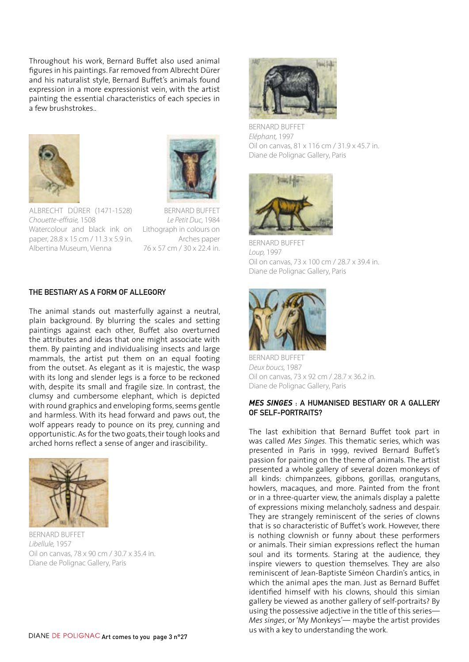Throughout his work, Bernard Buffet also used animal figures in his paintings. Far removed from Albrecht Dürer and his naturalist style, Bernard Buffet's animals found expression in a more expressionist vein, with the artist painting the essential characteristics of each species in a few brushstrokes..





Albrecht Dürer (1471-1528) *Chouette-effraie,* 1508 Watercolour and black ink on paper, 28.8 x 15 cm / 11.3 x 5.9 in. Albertina Museum, Vienna

 BERNARD BUFFET *Le Petit Duc,* 1984 Lithograph in colours on Arches paper 76 x 57 cm / 30 x 22.4 in.

## **The bestiary as a form of allegory**

The animal stands out masterfully against a neutral, plain background. By blurring the scales and setting paintings against each other, Buffet also overturned the attributes and ideas that one might associate with them. By painting and individualising insects and large mammals, the artist put them on an equal footing from the outset. As elegant as it is majestic, the wasp with its long and slender legs is a force to be reckoned with, despite its small and fragile size. In contrast, the clumsy and cumbersome elephant, which is depicted with round graphics and enveloping forms, seems gentle and harmless. With its head forward and paws out, the wolf appears ready to pounce on its prey, cunning and opportunistic.As for the two goats,their tough looks and arched horns reflect a sense of anger and irascibility..



BERNARD BUFFET *Libellule,* 1957 Oil on canvas, 78 x 90 cm / 30.7 x 35.4 in. Diane de Polignac Gallery, Paris



BERNARD BUFFET *Eléphant,* 1997 Oil on canvas, 81 x 116 cm / 31.9 x 45.7 in. Diane de Polignac Gallery, Paris



BERNARD BUFFET *Loup,* 1997 Oil on canvas, 73 x 100 cm / 28.7 x 39.4 in. Diane de Polignac Gallery, Paris



BERNARD BUFFET *Deux boucs,* 1987 Oil on canvas, 73 x 92 cm / 28.7 x 36.2 in. Diane de Polignac Gallery, Paris

#### *Mes singes* **: a humanised bestiary or a gallery of self-portraits?**

The last exhibition that Bernard Buffet took part in was called *Mes Singes.* This thematic series, which was presented in Paris in 1999, revived Bernard Buffet's passion for painting on the theme of animals. The artist presented a whole gallery of several dozen monkeys of all kinds: chimpanzees, gibbons, gorillas, orangutans, howlers, macaques, and more. Painted from the front or in a three-quarter view, the animals display a palette of expressions mixing melancholy, sadness and despair. They are strangely reminiscent of the series of clowns that is so characteristic of Buffet's work. However, there is nothing clownish or funny about these performers or animals. Their simian expressions reflect the human soul and its torments. Staring at the audience, they inspire viewers to question themselves. They are also reminiscent of Jean-Baptiste Siméon Chardin's antics, in which the animal apes the man. Just as Bernard Buffet identified himself with his clowns, should this simian gallery be viewed as another gallery of self-portraits? By using the possessive adjective in the title of this series— *Mes singes*, or'My Monkeys'— maybe the artist provides us with a key to understanding the work.